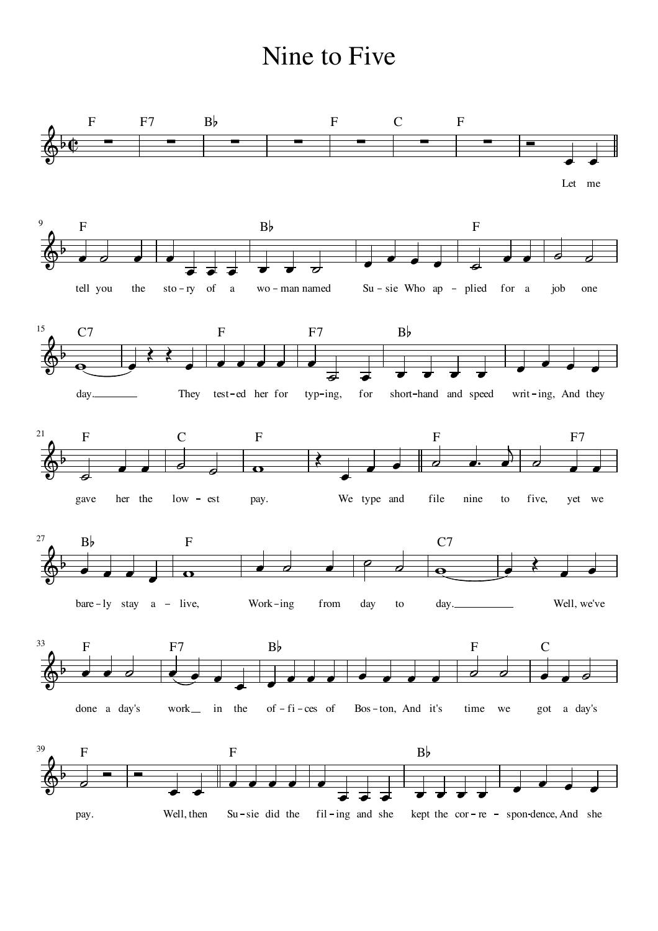#### Nine to Five

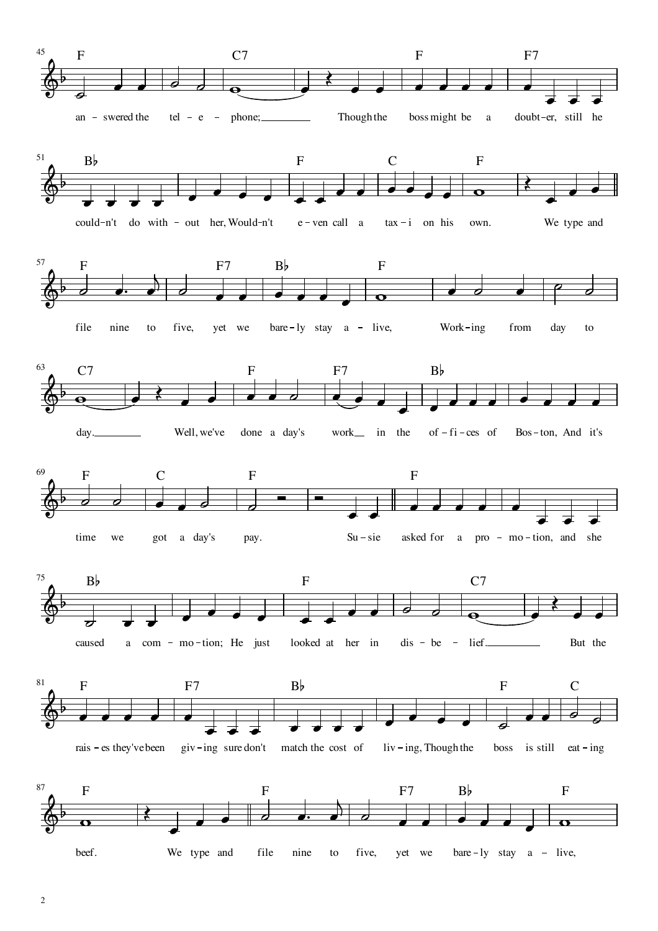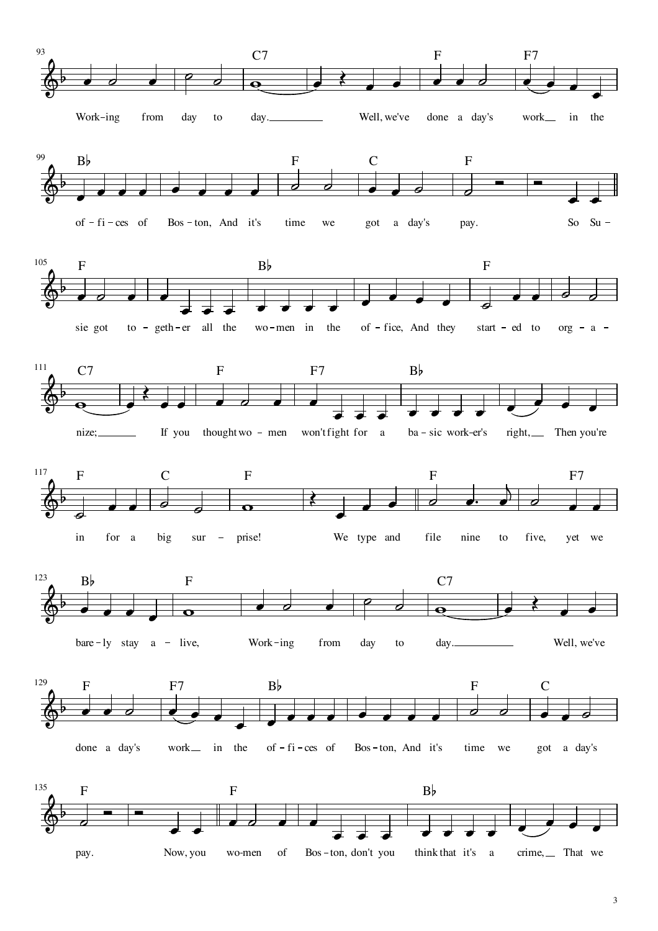

3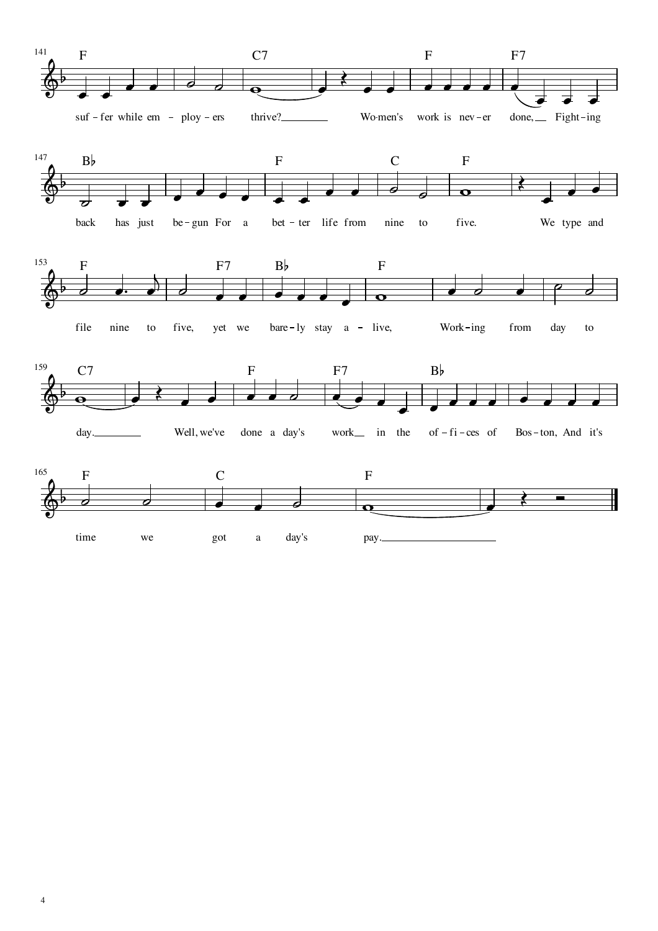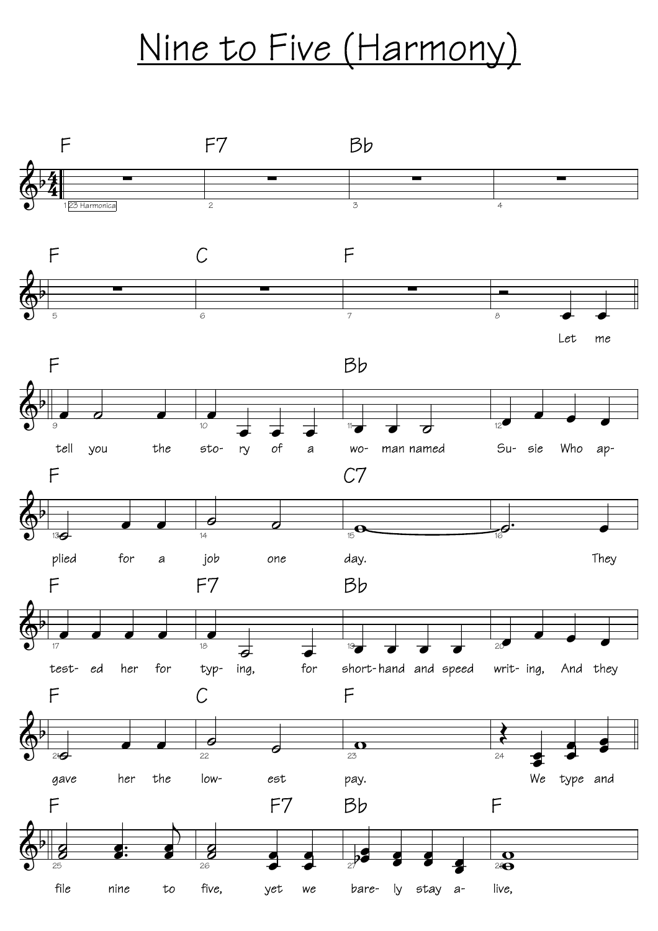# Nine to Five (Harmony)

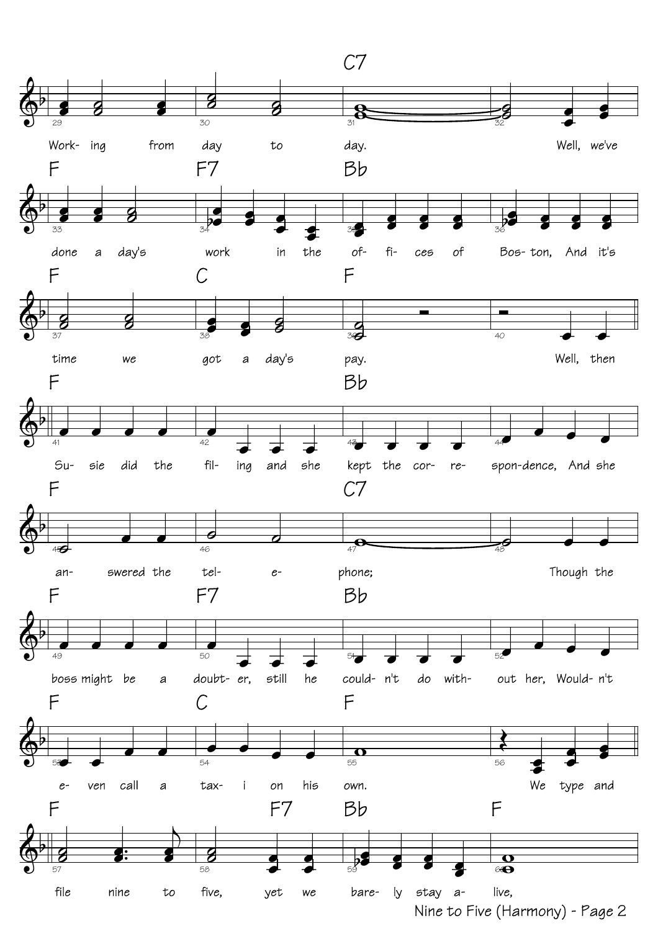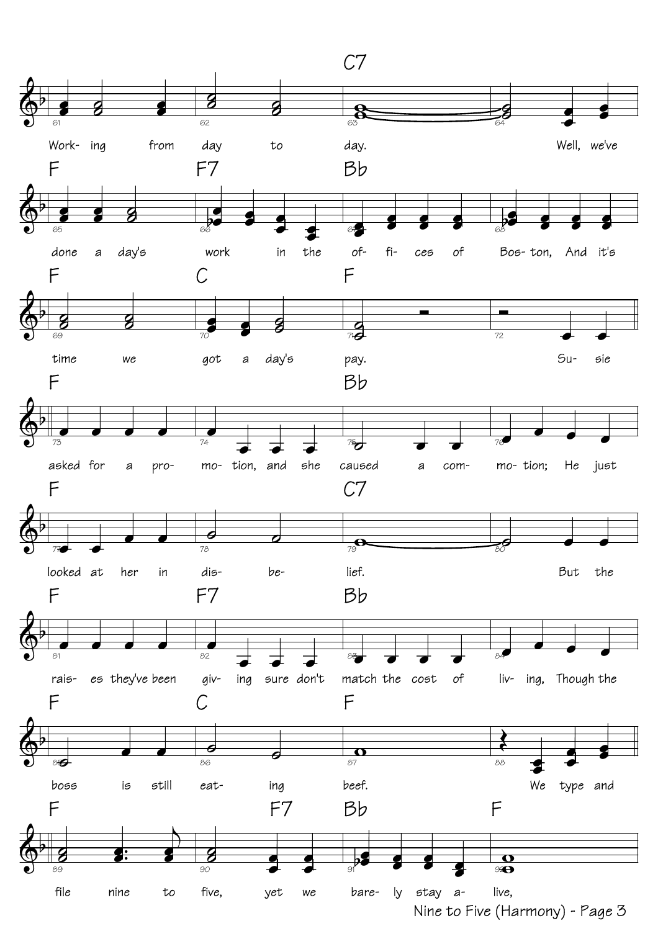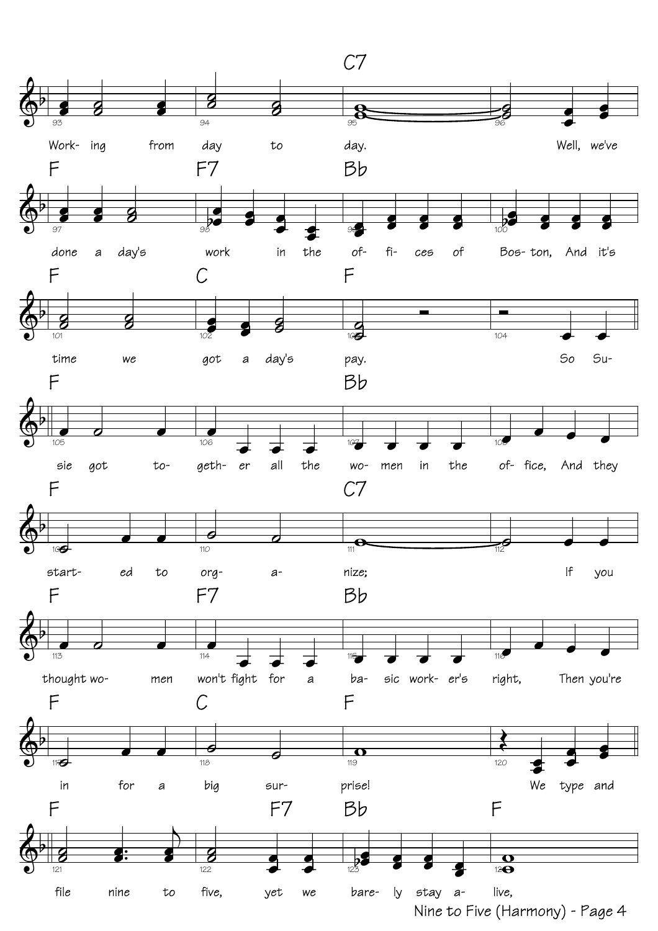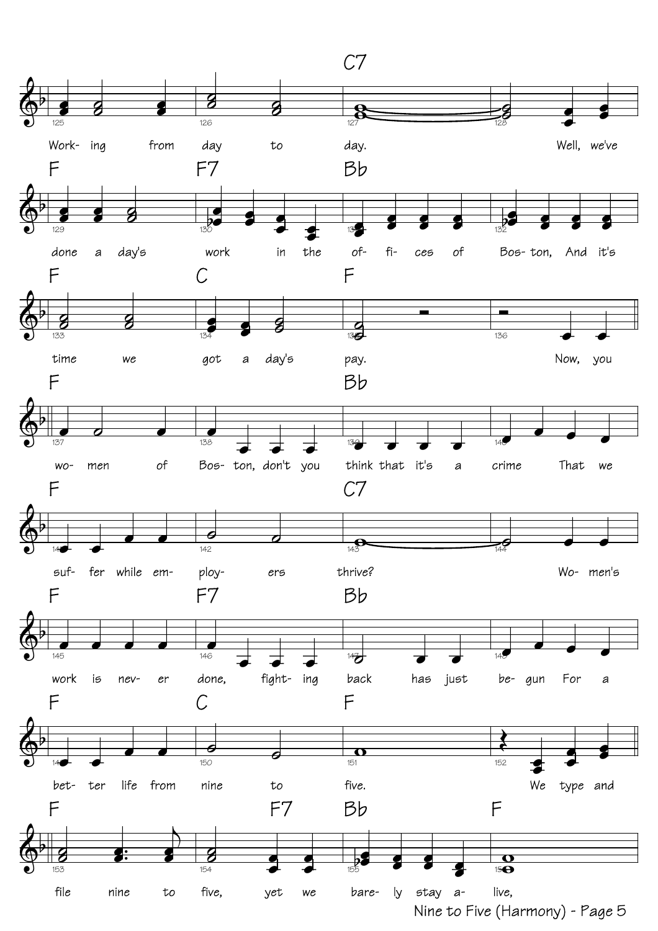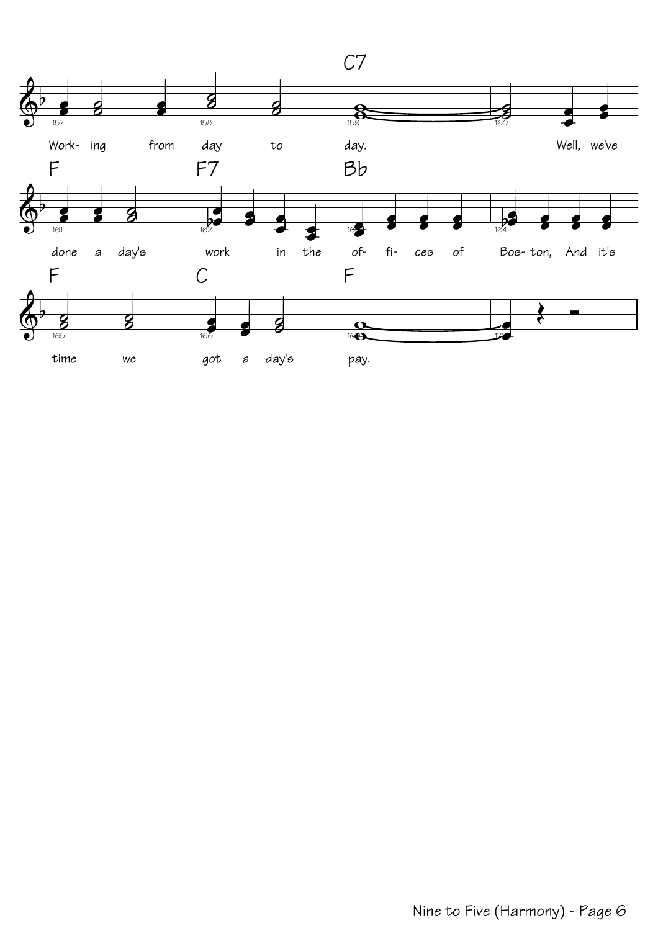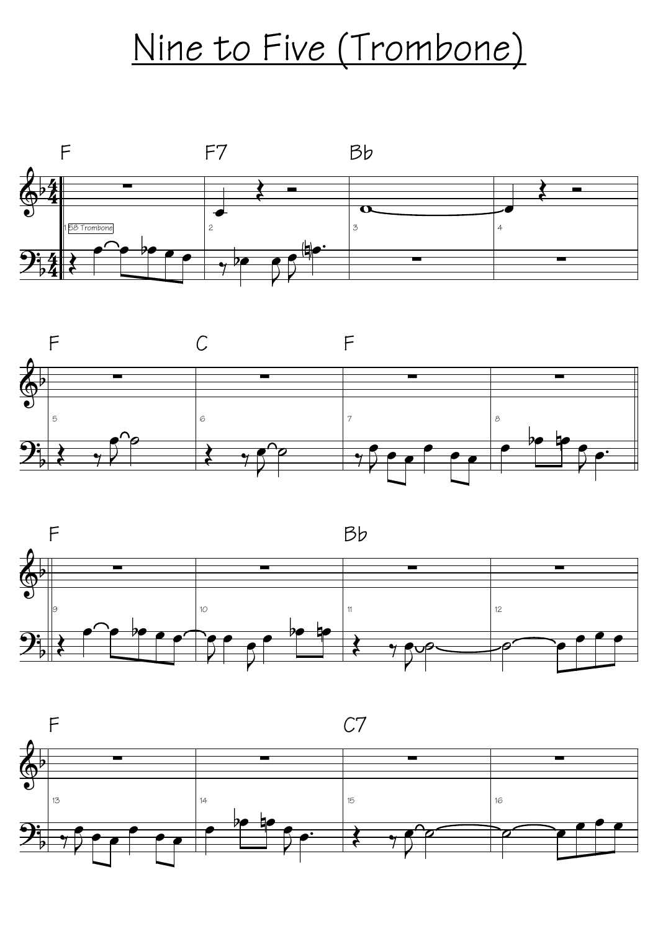# Nine to Five (Trombone)







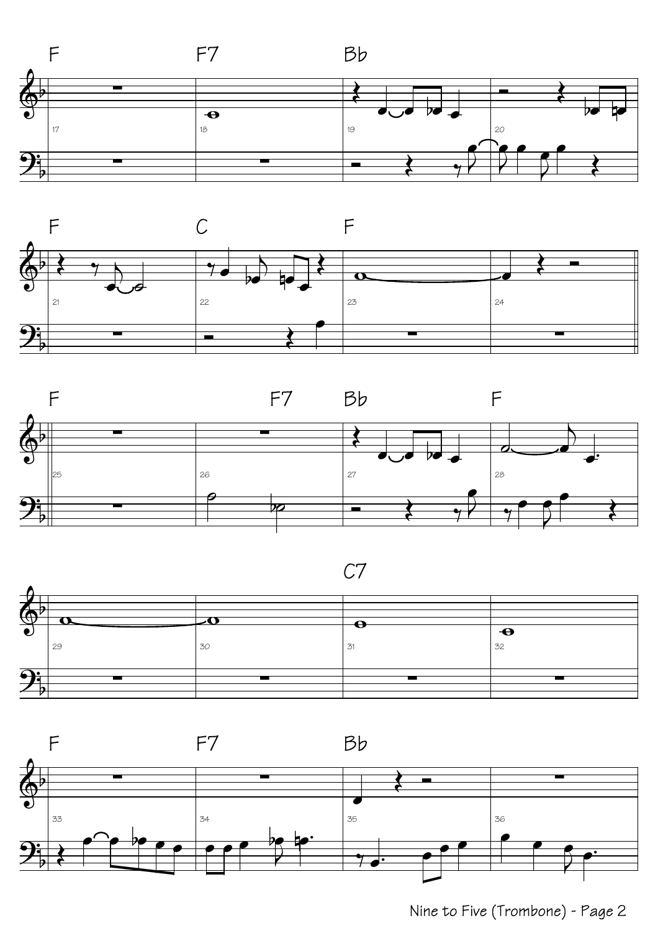





C7



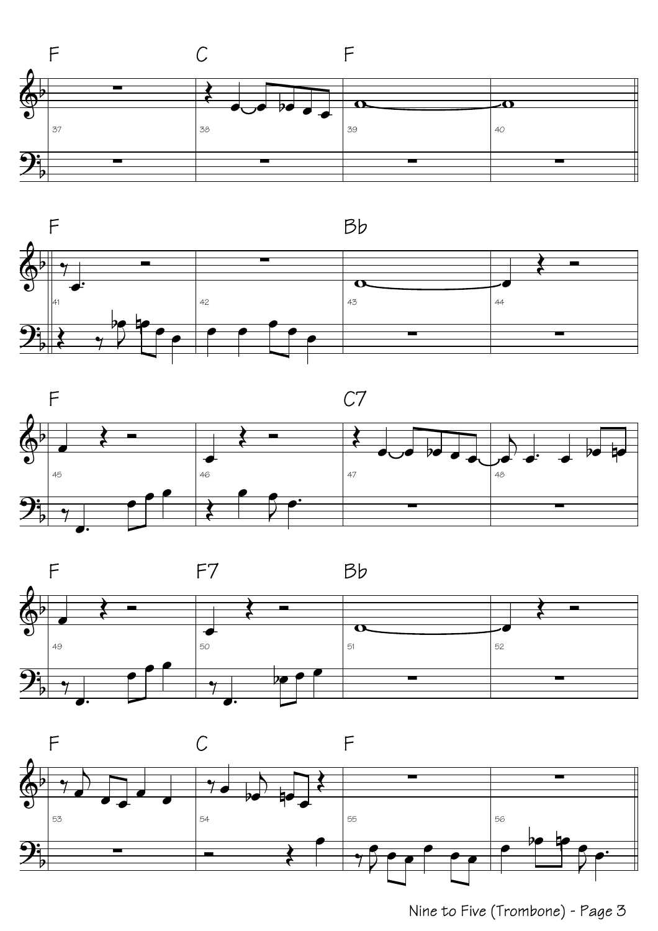







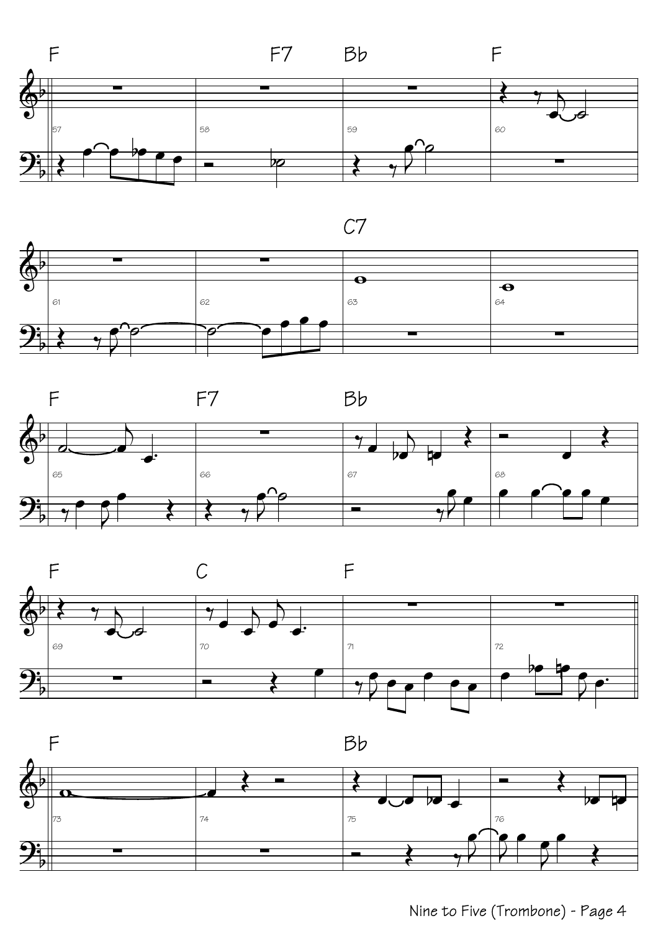







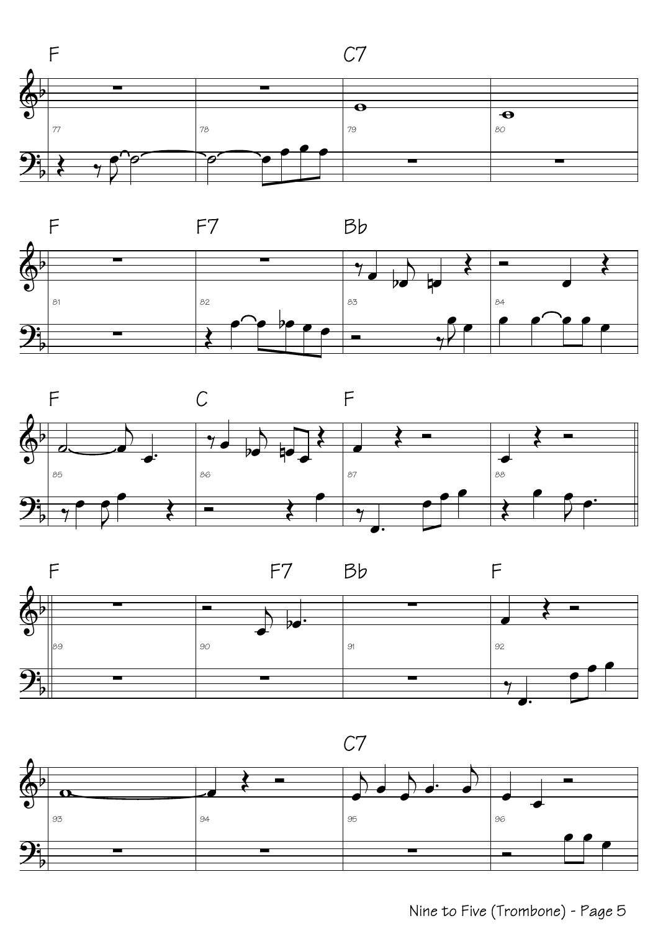







& b  $\overline{\mathbf{2}}$ 93 94 95 96  $\overline{\mathbf{o}}$ ¸  $\overline{\phantom{a}}$ ¸  $\leftarrow$ —<br>—<br>—  $\overrightarrow{e}$  .  $\blacksquare$ ï  $\overline{\phantom{0}}$  $\overline{\phantom{a}}$ Q C7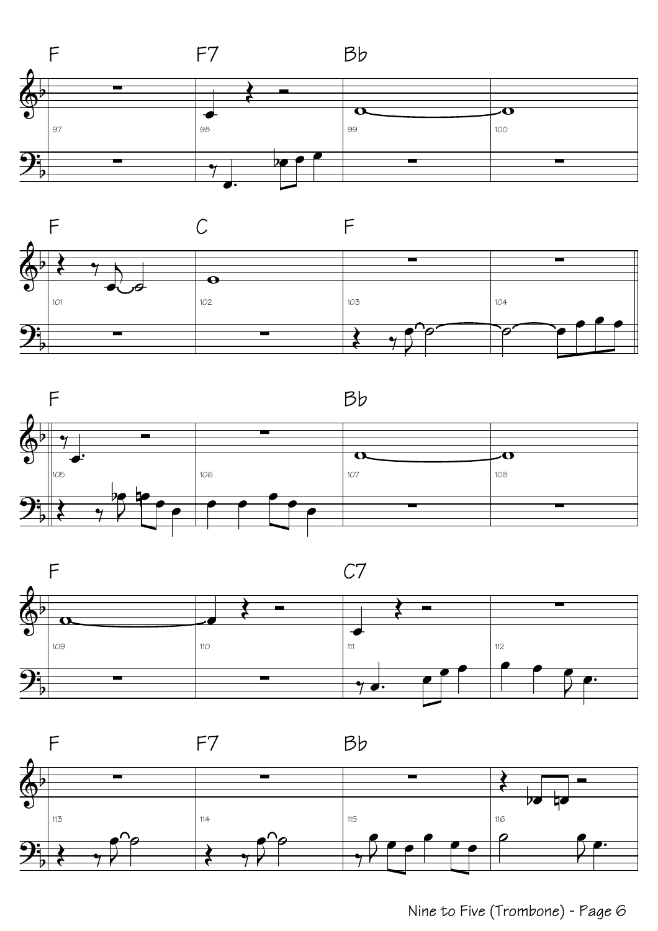







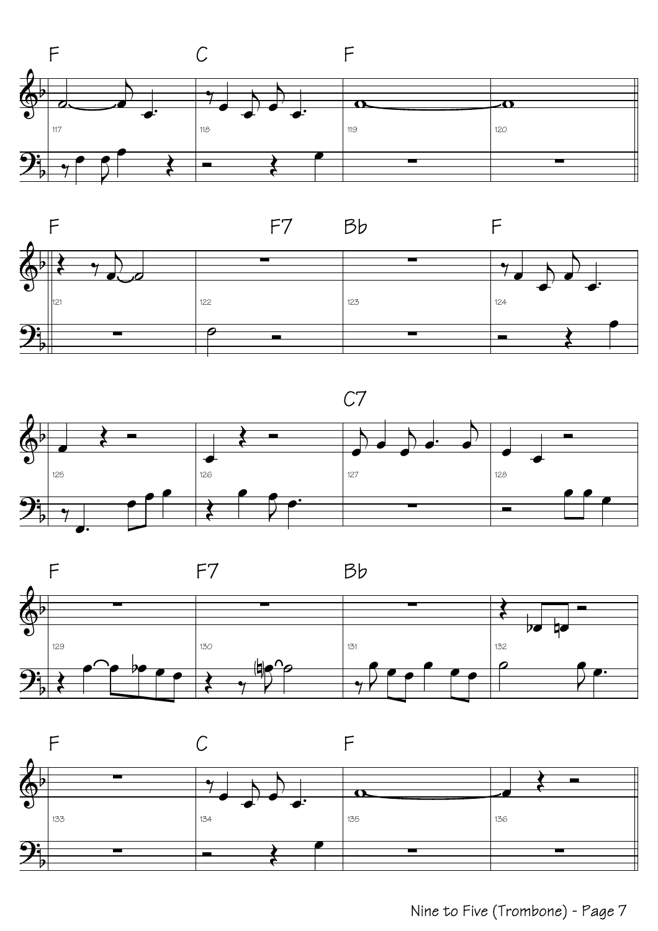







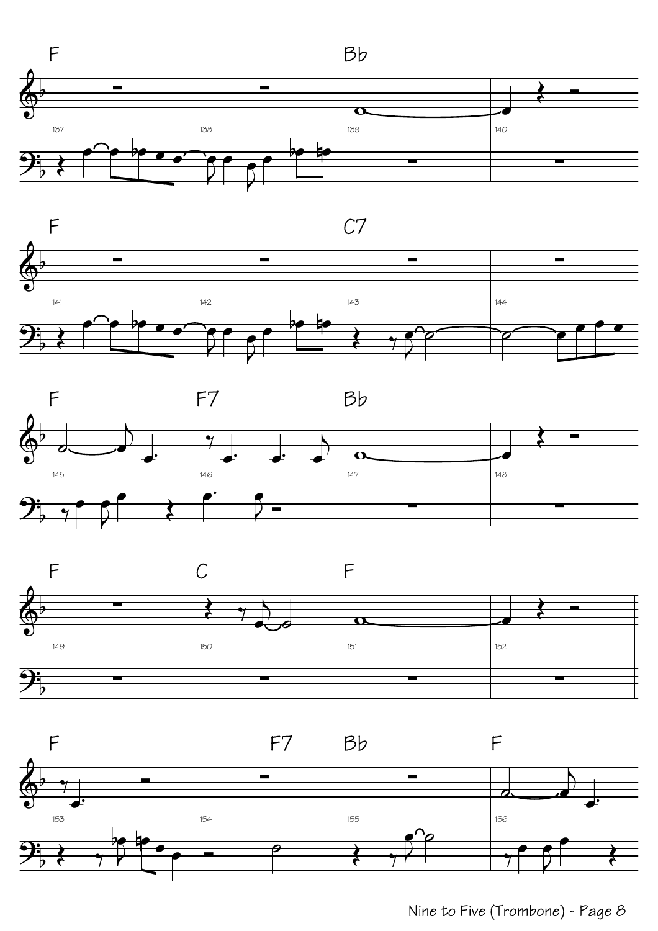







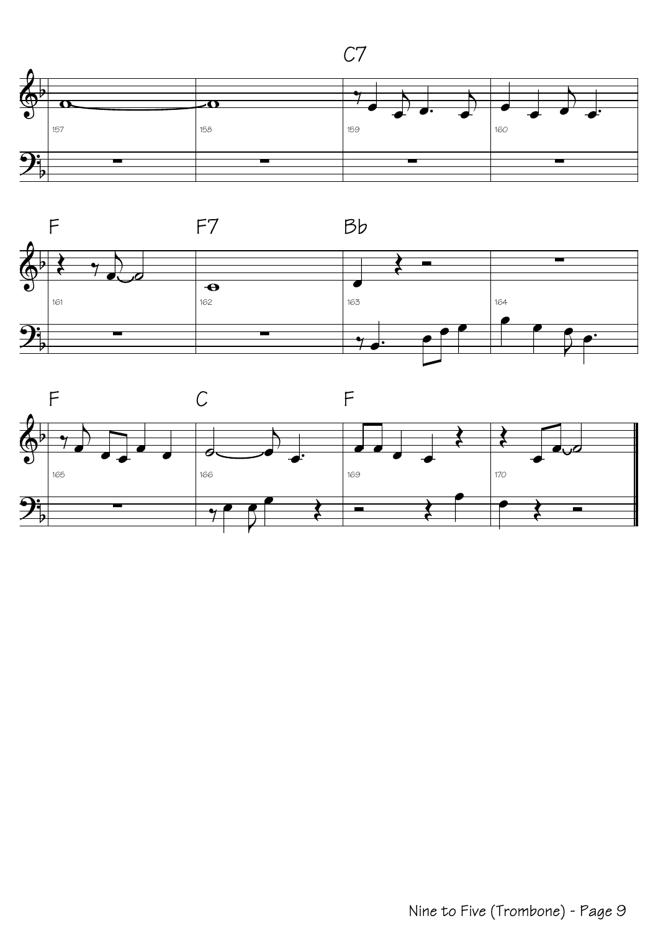



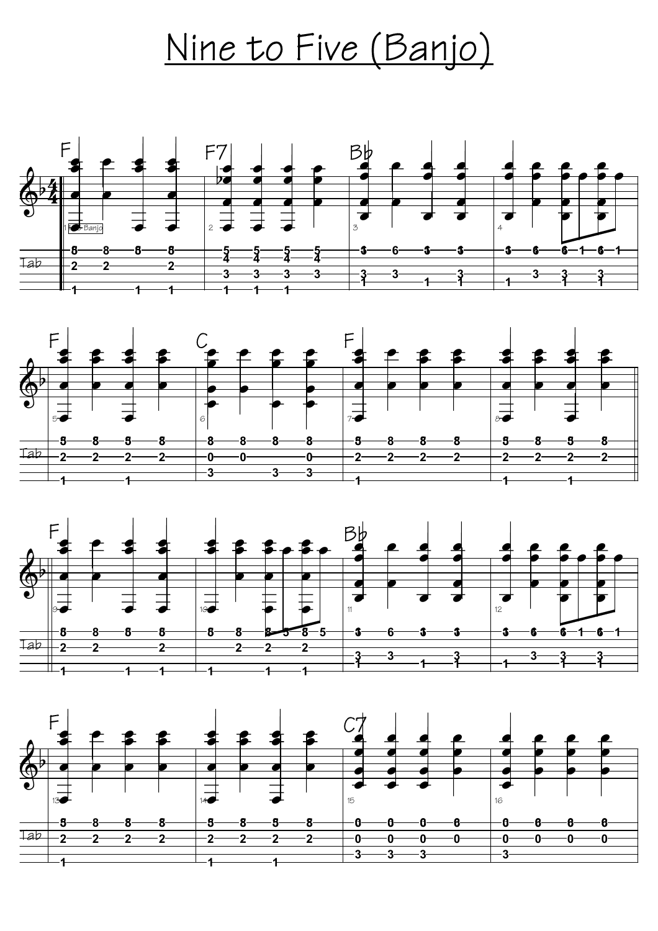### Nine to Five (Banjo)







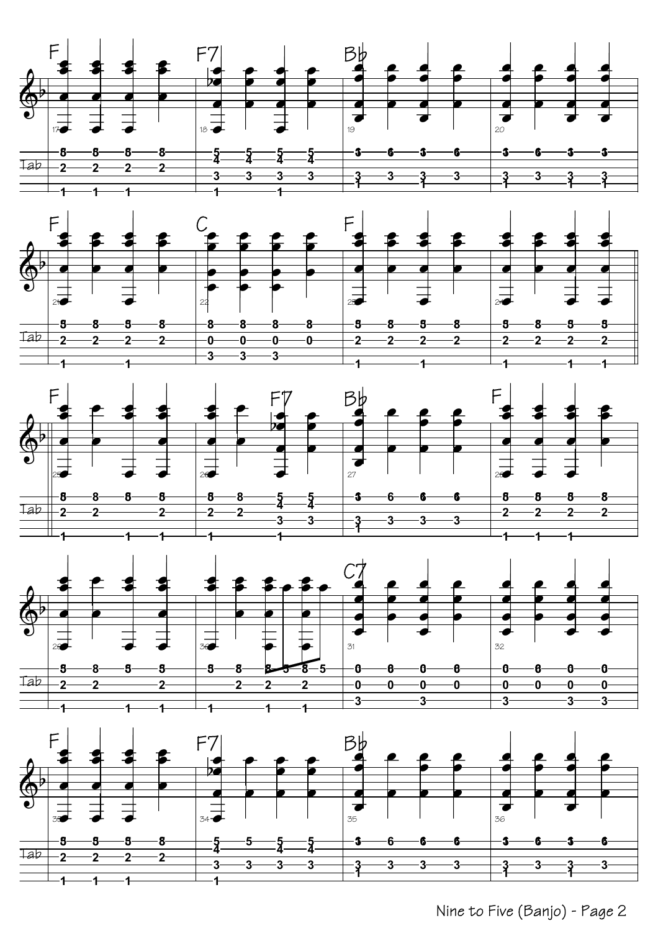







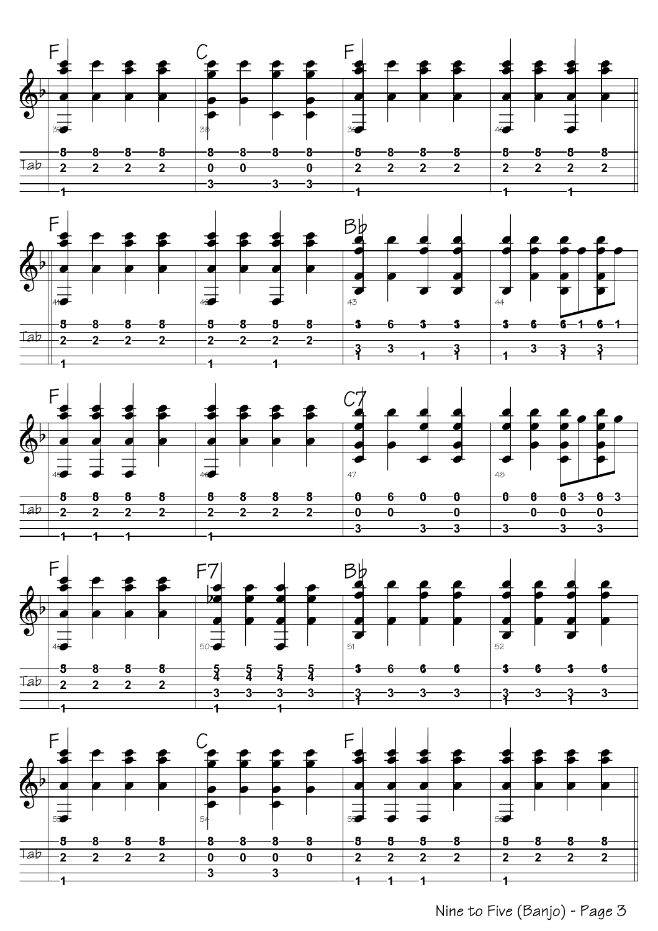









Nine to Five (Banjo) - Page 3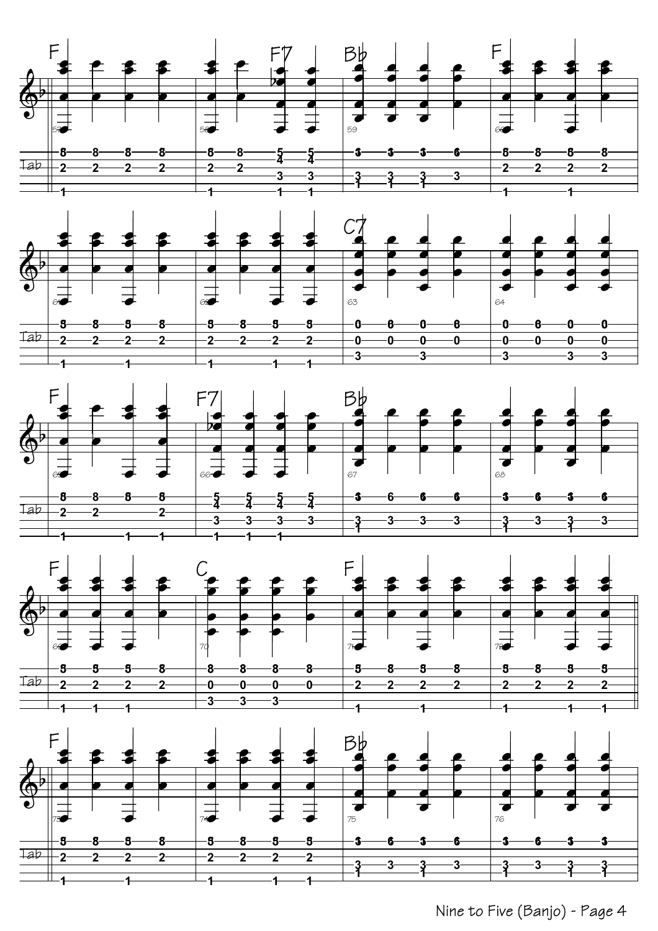







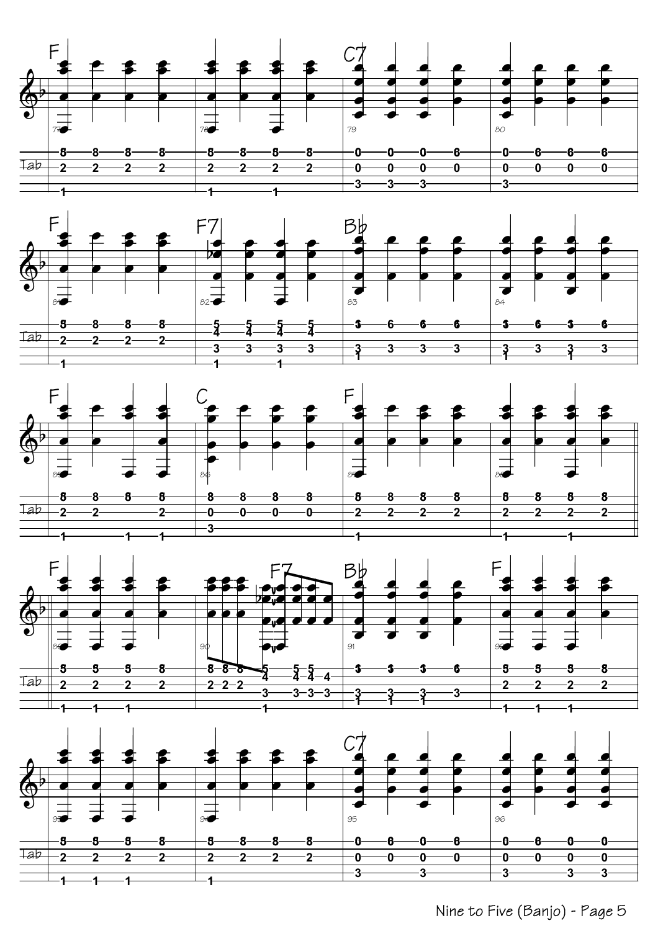







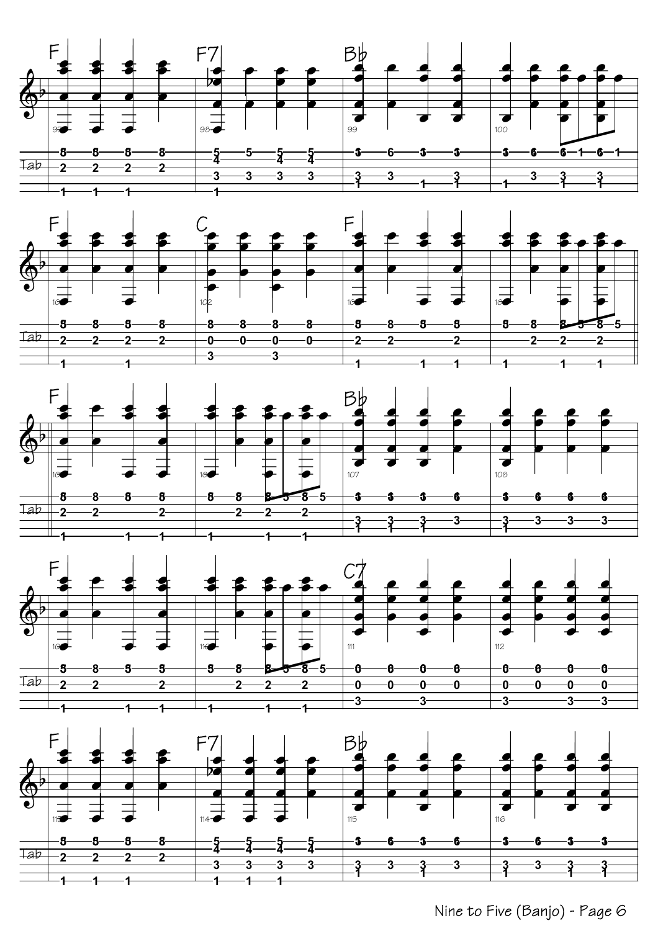







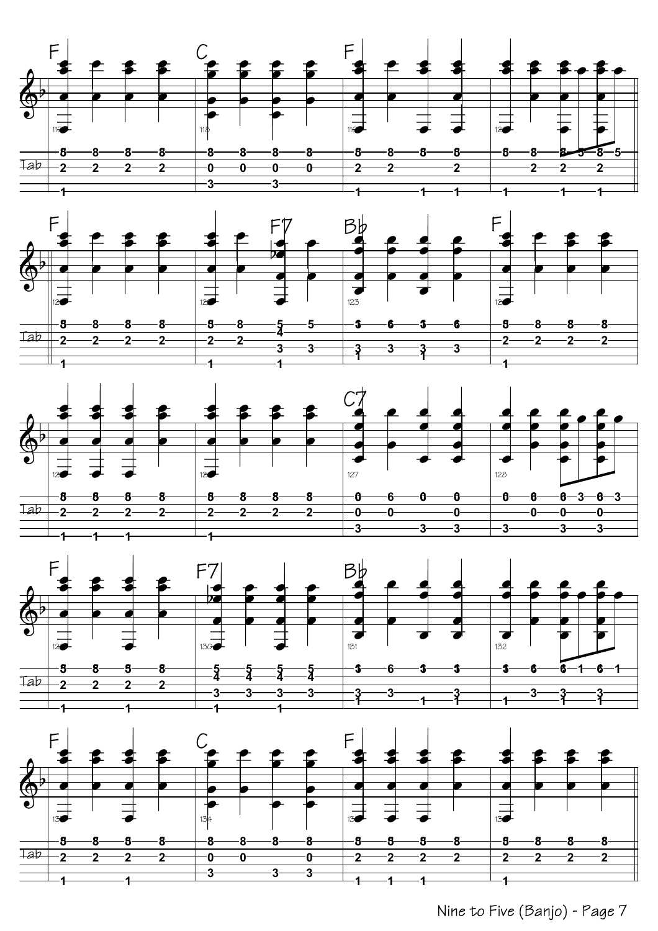









Nine to Five (Banjo) - Page 7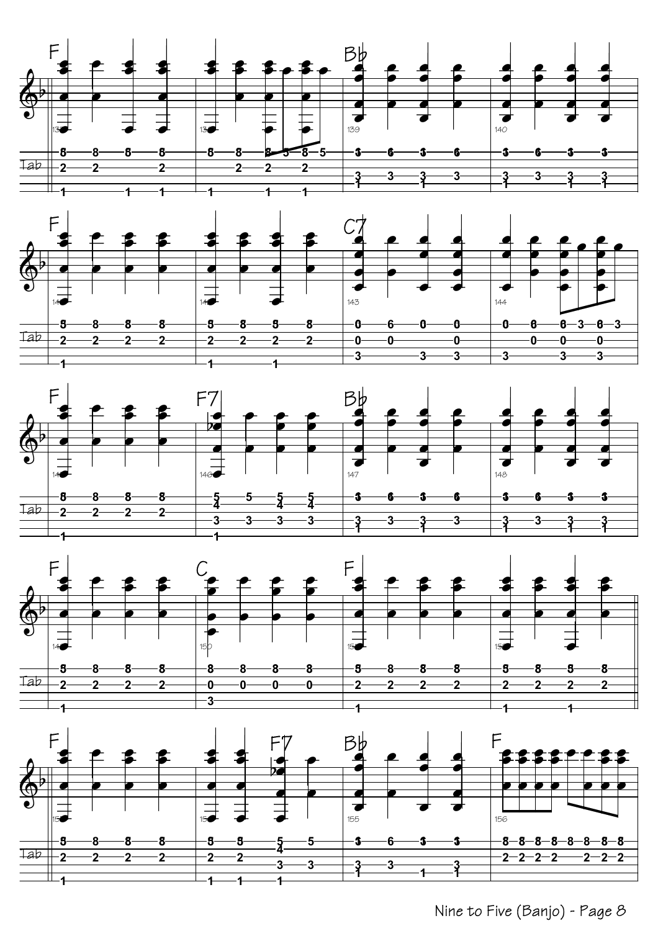









Nine to Five (Banjo) - Page 8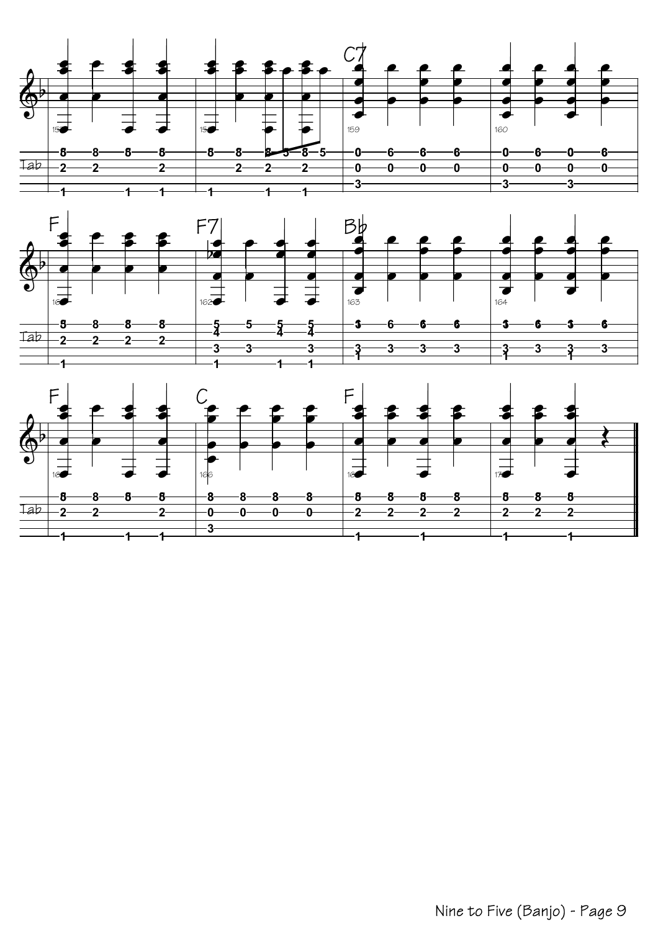



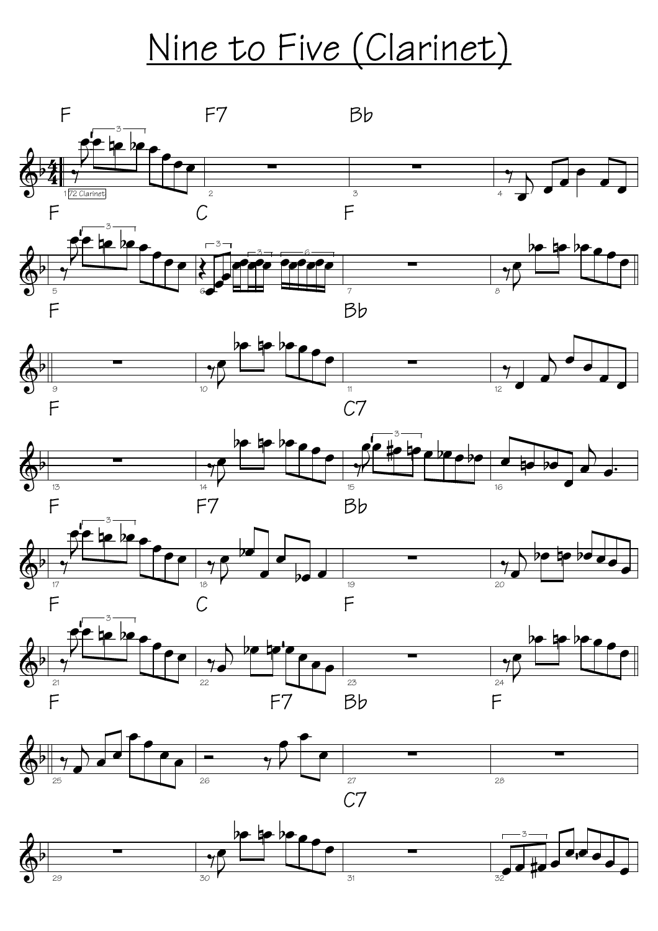# Nine to Five (Clarinet)













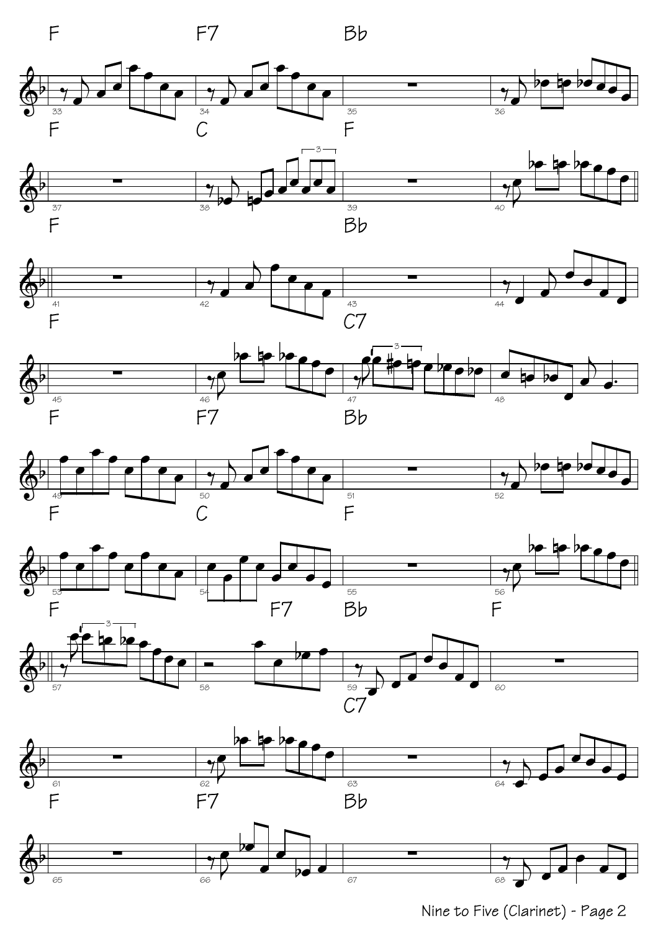



37 38 38  $\overline{1}$  39 39 40

F Bb













Nine to Five (Clarinet) - Page 2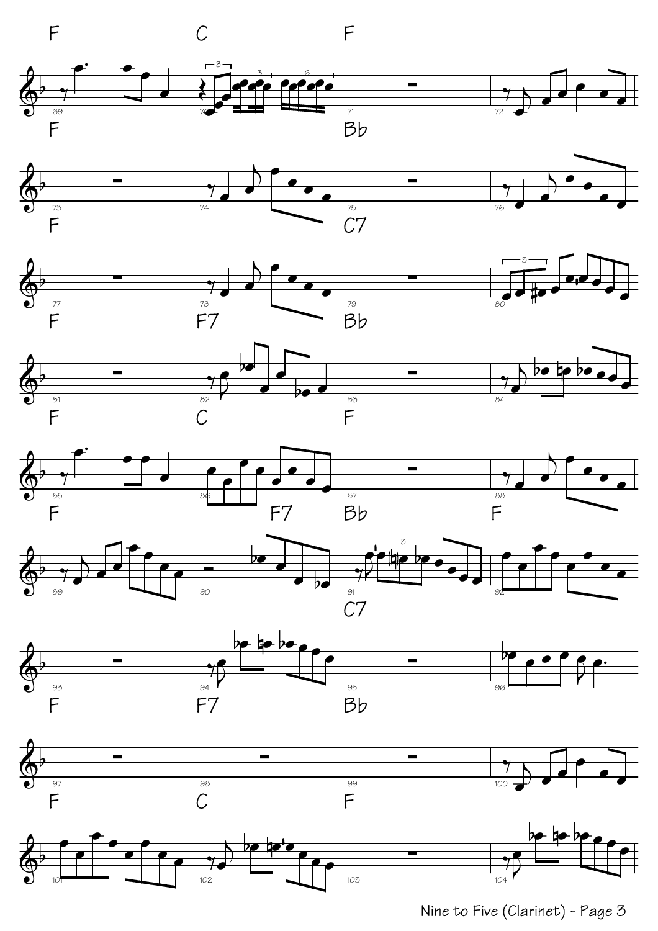

















Nine to Five (Clarinet) - Page 3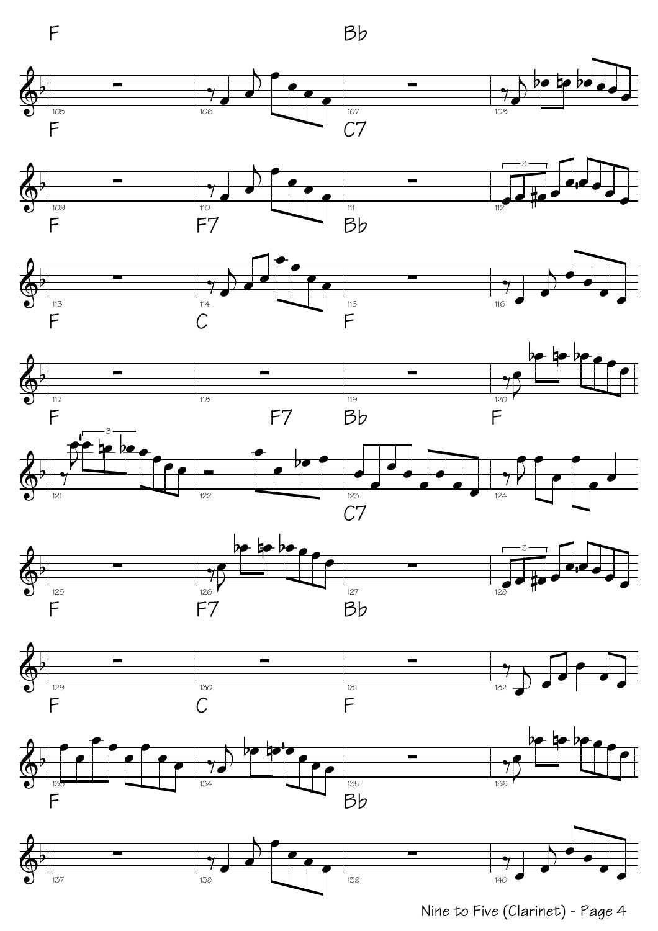















Nine to Five (Clarinet) - Page 4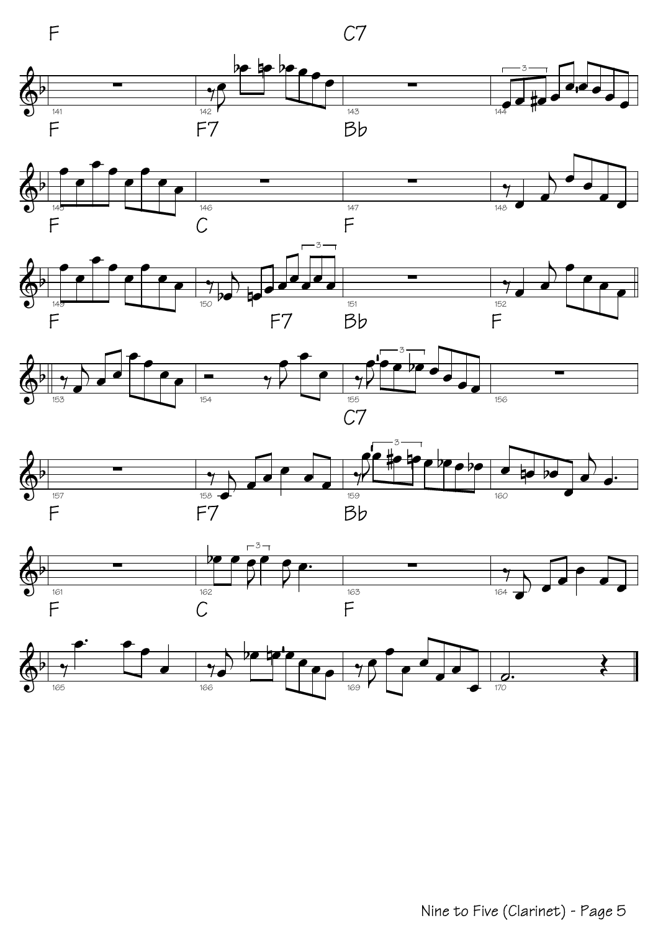













Nine to Five (Clarinet) - Page 5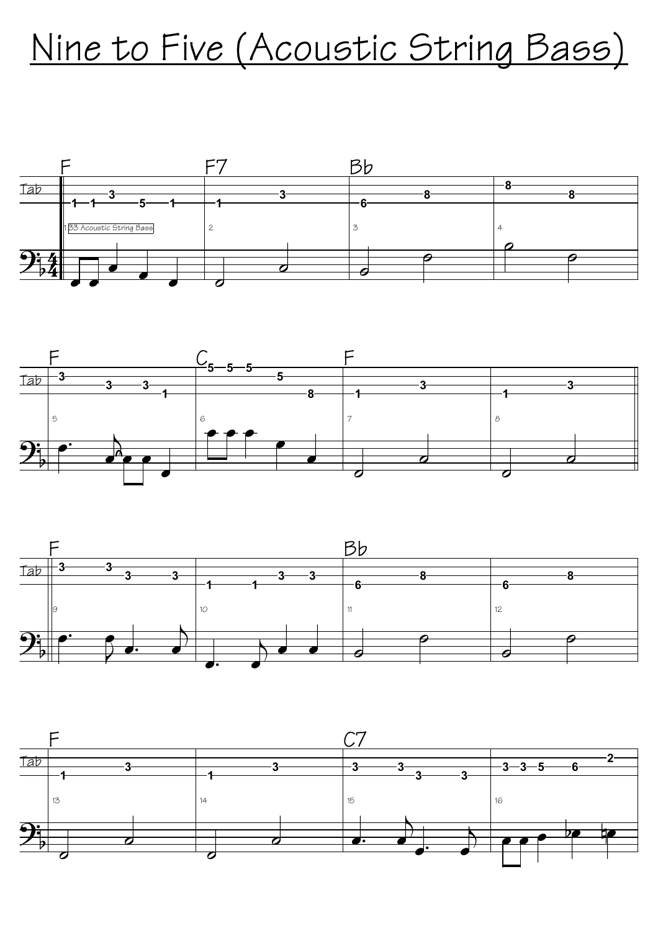# Nine to Five (Acoustic String Bass)







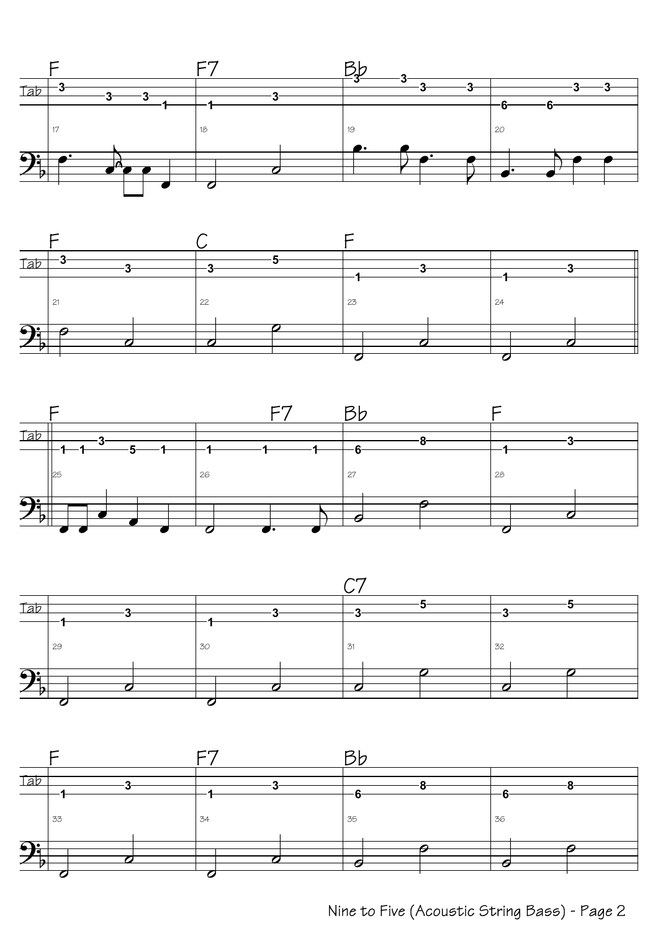









Nine to Five (Acoustic String Bass) - Page 2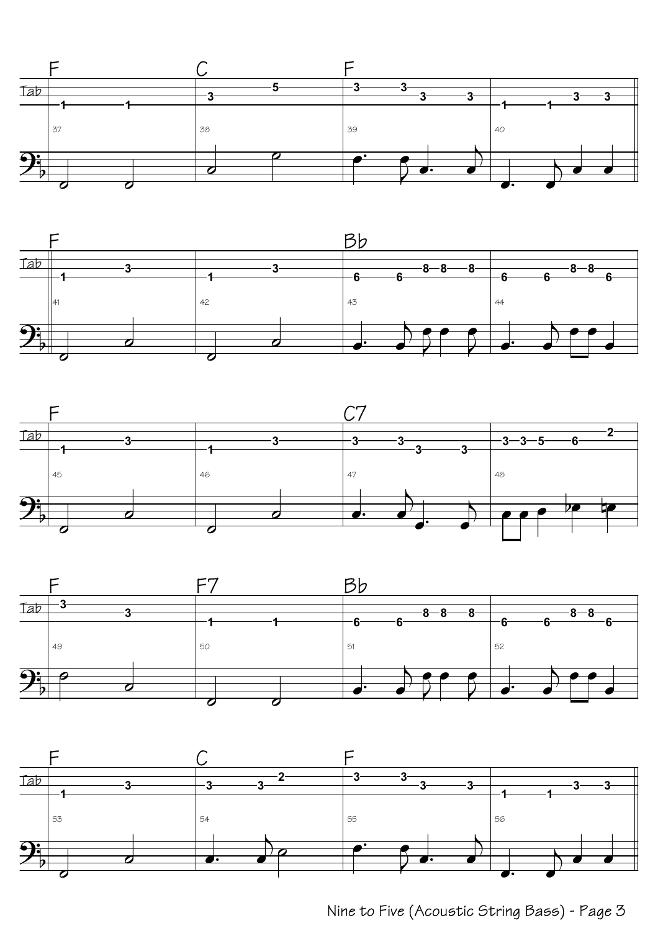









Nine to Five (Acoustic String Bass) - Page 3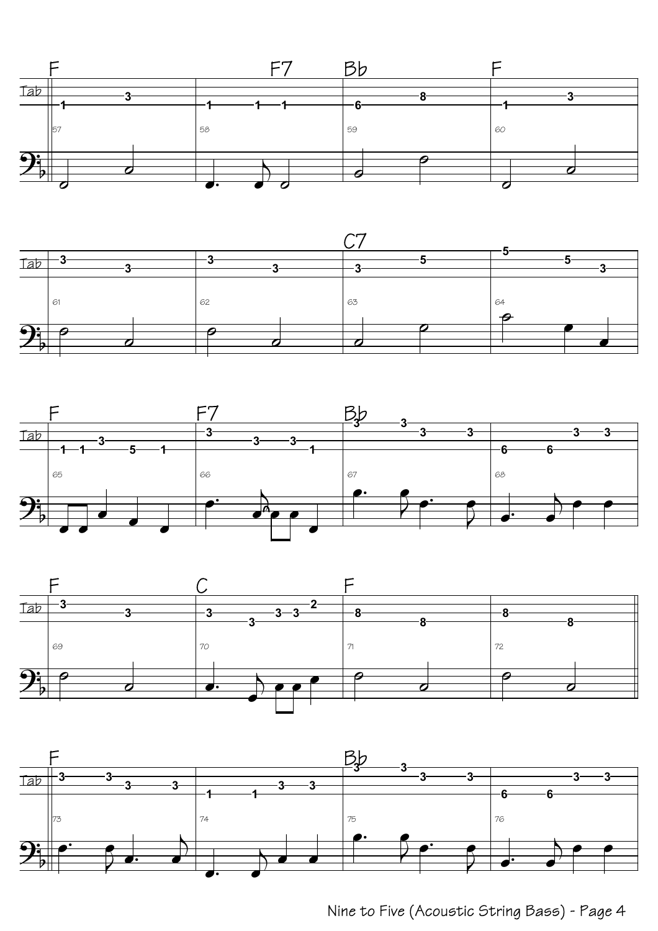









Nine to Five (Acoustic String Bass) - Page 4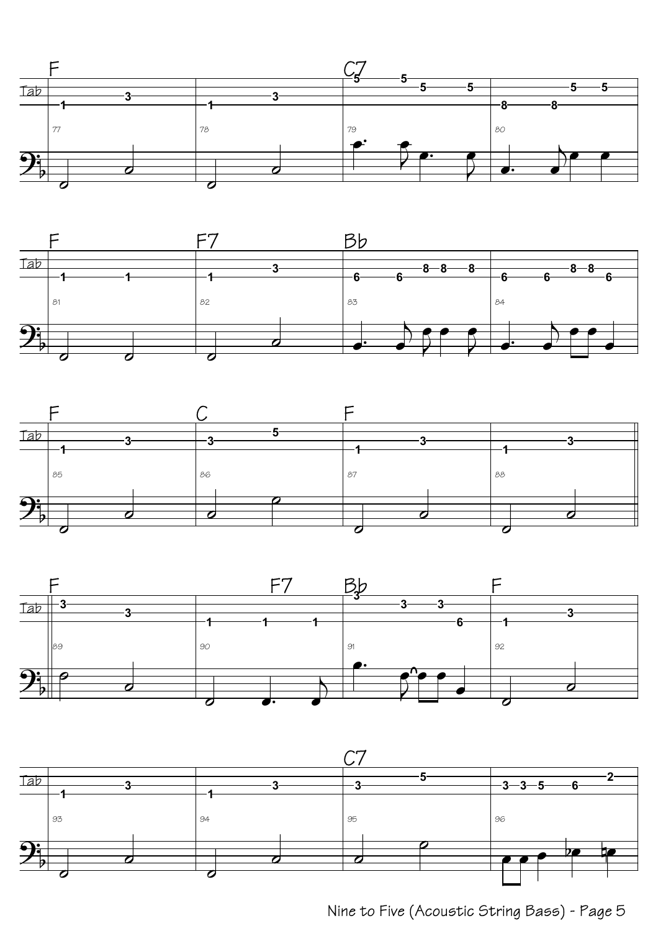









Nine to Five (Acoustic String Bass) - Page 5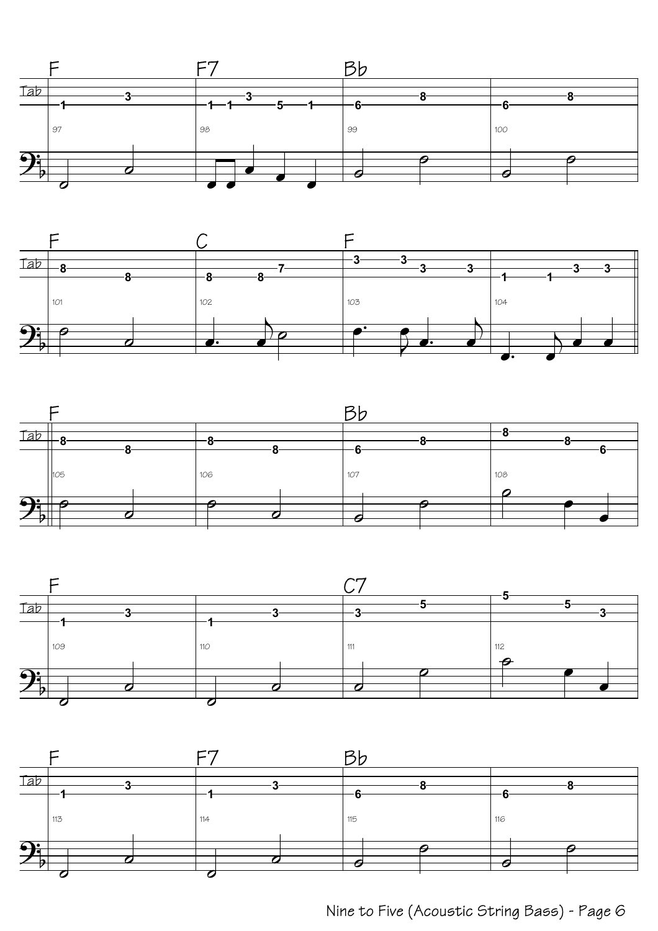









Nine to Five (Acoustic String Bass) - Page 6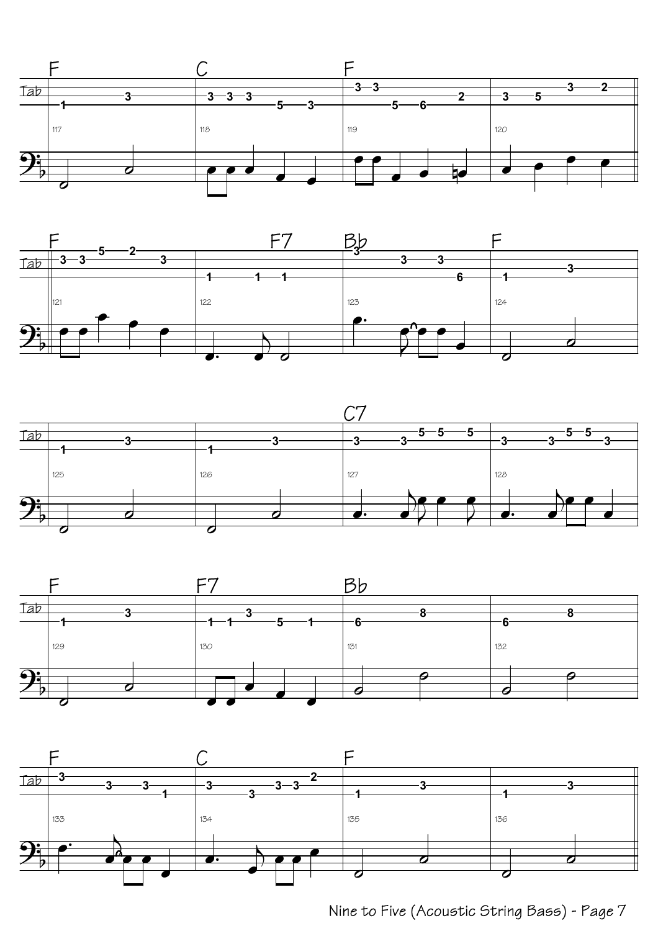









Nine to Five (Acoustic String Bass) - Page 7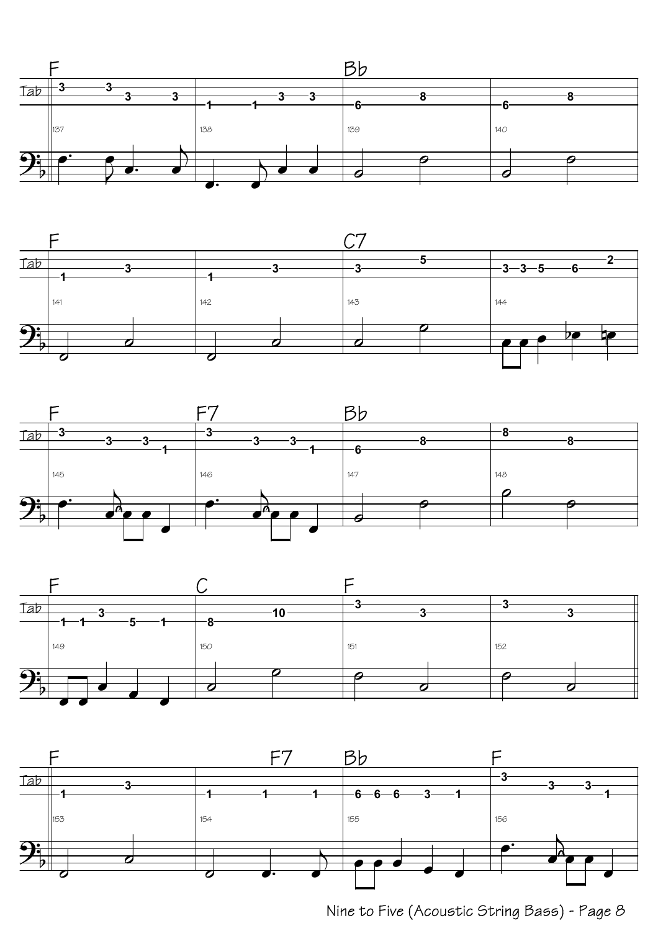









Nine to Five (Acoustic String Bass) - Page 8